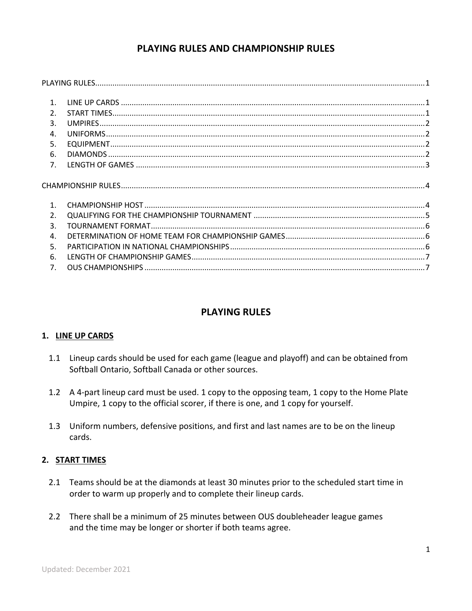# **PLAYING RULES AND CHAMPIONSHIP RULES**

| $\mathbf{1}$ .   |  |
|------------------|--|
| $\overline{2}$ . |  |
| 3.               |  |
| $\mathbf{4}$     |  |
| 5.               |  |
| 6.               |  |
| 7.               |  |
|                  |  |
|                  |  |
| $\mathbf{1}$ .   |  |
| $\overline{2}$ . |  |
| $\mathbf{R}$     |  |
| $\mathbf{A}$ .   |  |
| .5.              |  |
| 6.               |  |

# **PLAYING RULES**

# **1. LINE UP CARDS**

- 1.1 Lineup cards should be used for each game (league and playoff) and can be obtained from Softball Ontario, Softball Canada or other sources.
- 1.2 A 4-part lineup card must be used. 1 copy to the opposing team, 1 copy to the Home Plate Umpire, 1 copy to the official scorer, if there is one, and 1 copy for yourself.
- 1.3 Uniform numbers, defensive positions, and first and last names are to be on the lineup cards.

# **2. START TIMES**

- 2.1 Teams should be at the diamonds at least 30 minutes prior to the scheduled start time in order to warm up properly and to complete their lineup cards.
- 2.2 There shall be a minimum of 25 minutes between OUS doubleheader league games and the time may be longer or shorter if both teams agree.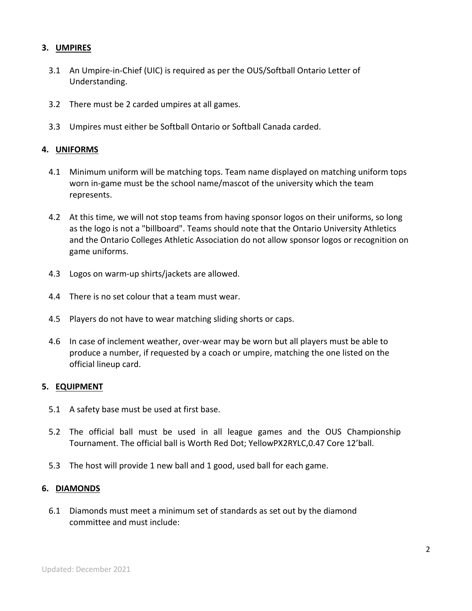## **3. UMPIRES**

- 3.1 An Umpire-in-Chief (UIC) is required as per the OUS/Softball Ontario Letter of Understanding.
- 3.2 There must be 2 carded umpires at all games.
- 3.3 Umpires must either be Softball Ontario or Softball Canada carded.

### **4. UNIFORMS**

- 4.1 Minimum uniform will be matching tops. Team name displayed on matching uniform tops worn in-game must be the school name/mascot of the university which the team represents.
- 4.2 At this time, we will not stop teams from having sponsor logos on their uniforms, so long as the logo is not a "billboard". Teams should note that the Ontario University Athletics and the Ontario Colleges Athletic Association do not allow sponsor logos or recognition on game uniforms.
- 4.3 Logos on warm-up shirts/jackets are allowed.
- 4.4 There is no set colour that a team must wear.
- 4.5 Players do not have to wear matching sliding shorts or caps.
- 4.6 In case of inclement weather, over-wear may be worn but all players must be able to produce a number, if requested by a coach or umpire, matching the one listed on the official lineup card.

### **5. EQUIPMENT**

- 5.1 A safety base must be used at first base.
- 5.2 The official ball must be used in all league games and the OUS Championship Tournament. The official ball is Worth Red Dot; YellowPX2RYLC,0.47 Core 12'ball.
- 5.3 The host will provide 1 new ball and 1 good, used ball for each game.

### **6. DIAMONDS**

6.1 Diamonds must meet a minimum set of standards as set out by the diamond committee and must include: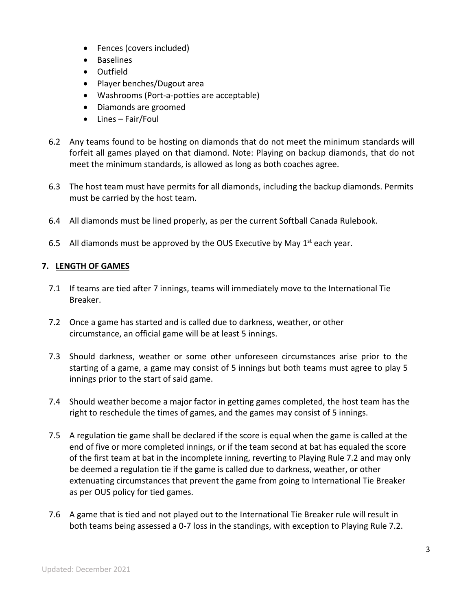- Fences (covers included)
- Baselines
- Outfield
- Player benches/Dugout area
- Washrooms (Port-a-potties are acceptable)
- Diamonds are groomed
- Lines Fair/Foul
- 6.2 Any teams found to be hosting on diamonds that do not meet the minimum standards will forfeit all games played on that diamond. Note: Playing on backup diamonds, that do not meet the minimum standards, is allowed as long as both coaches agree.
- 6.3 The host team must have permits for all diamonds, including the backup diamonds. Permits must be carried by the host team.
- 6.4 All diamonds must be lined properly, as per the current Softball Canada Rulebook.
- 6.5 All diamonds must be approved by the OUS Executive by May  $1<sup>st</sup>$  each year.

### **7. LENGTH OF GAMES**

- 7.1 If teams are tied after 7 innings, teams will immediately move to the International Tie Breaker.
- 7.2 Once a game has started and is called due to darkness, weather, or other circumstance, an official game will be at least 5 innings.
- 7.3 Should darkness, weather or some other unforeseen circumstances arise prior to the starting of a game, a game may consist of 5 innings but both teams must agree to play 5 innings prior to the start of said game.
- 7.4 Should weather become a major factor in getting games completed, the host team has the right to reschedule the times of games, and the games may consist of 5 innings.
- 7.5 A regulation tie game shall be declared if the score is equal when the game is called at the end of five or more completed innings, or if the team second at bat has equaled the score of the first team at bat in the incomplete inning, reverting to Playing Rule 7.2 and may only be deemed a regulation tie if the game is called due to darkness, weather, or other extenuating circumstances that prevent the game from going to International Tie Breaker as per OUS policy for tied games.
- 7.6 A game that is tied and not played out to the International Tie Breaker rule will result in both teams being assessed a 0-7 loss in the standings, with exception to Playing Rule 7.2.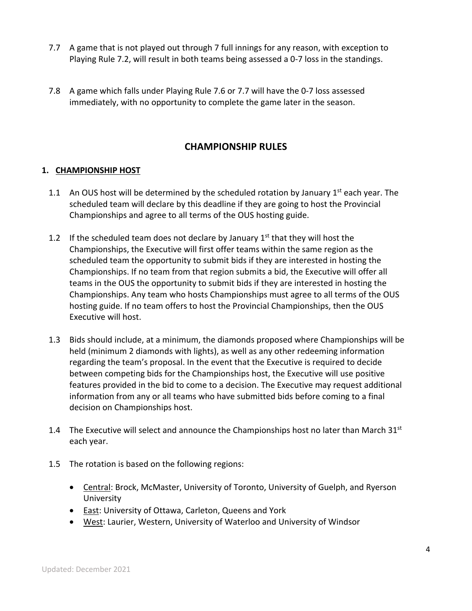- 7.7 A game that is not played out through 7 full innings for any reason, with exception to Playing Rule 7.2, will result in both teams being assessed a 0-7 loss in the standings.
- 7.8 A game which falls under Playing Rule 7.6 or 7.7 will have the 0-7 loss assessed immediately, with no opportunity to complete the game later in the season.

# **CHAMPIONSHIP RULES**

## **1. CHAMPIONSHIP HOST**

- 1.1 An OUS host will be determined by the scheduled rotation by January  $1<sup>st</sup>$  each year. The scheduled team will declare by this deadline if they are going to host the Provincial Championships and agree to all terms of the OUS hosting guide.
- 1.2 If the scheduled team does not declare by January  $1<sup>st</sup>$  that they will host the Championships, the Executive will first offer teams within the same region as the scheduled team the opportunity to submit bids if they are interested in hosting the Championships. If no team from that region submits a bid, the Executive will offer all teams in the OUS the opportunity to submit bids if they are interested in hosting the Championships. Any team who hosts Championships must agree to all terms of the OUS hosting guide. If no team offers to host the Provincial Championships, then the OUS Executive will host.
- 1.3 Bids should include, at a minimum, the diamonds proposed where Championships will be held (minimum 2 diamonds with lights), as well as any other redeeming information regarding the team's proposal. In the event that the Executive is required to decide between competing bids for the Championships host, the Executive will use positive features provided in the bid to come to a decision. The Executive may request additional information from any or all teams who have submitted bids before coming to a final decision on Championships host.
- 1.4 The Executive will select and announce the Championships host no later than March  $31^{st}$ each year.
- 1.5 The rotation is based on the following regions:
	- Central: Brock, McMaster, University of Toronto, University of Guelph, and Ryerson University
	- East: University of Ottawa, Carleton, Queens and York
	- West: Laurier, Western, University of Waterloo and University of Windsor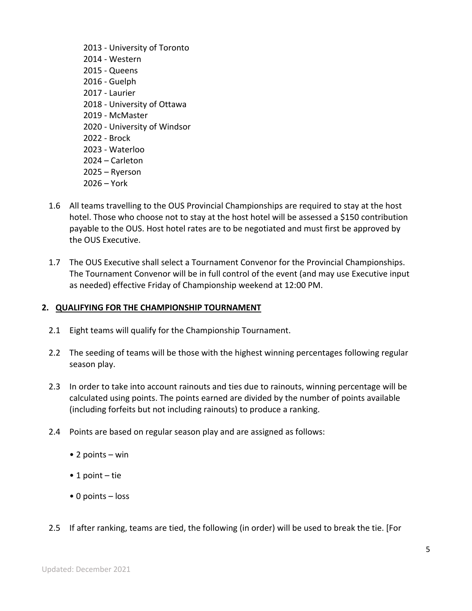- 2013 University of Toronto 2014 - Western 2015 - Queens 2016 - Guelph 2017 - Laurier 2018 - University of Ottawa 2019 - McMaster 2020 - University of Windsor 2022 - Brock 2023 - Waterloo 2024 – Carleton 2025 – Ryerson 2026 – York
- 1.6 All teams travelling to the OUS Provincial Championships are required to stay at the host hotel. Those who choose not to stay at the host hotel will be assessed a \$150 contribution payable to the OUS. Host hotel rates are to be negotiated and must first be approved by the OUS Executive.
- 1.7 The OUS Executive shall select a Tournament Convenor for the Provincial Championships. The Tournament Convenor will be in full control of the event (and may use Executive input as needed) effective Friday of Championship weekend at 12:00 PM.

## **2. QUALIFYING FOR THE CHAMPIONSHIP TOURNAMENT**

- 2.1 Eight teams will qualify for the Championship Tournament.
- 2.2 The seeding of teams will be those with the highest winning percentages following regular season play.
- 2.3 In order to take into account rainouts and ties due to rainouts, winning percentage will be calculated using points. The points earned are divided by the number of points available (including forfeits but not including rainouts) to produce a ranking.
- 2.4 Points are based on regular season play and are assigned as follows:
	- 2 points win
	- 1 point tie
	- 0 points loss
- 2.5 If after ranking, teams are tied, the following (in order) will be used to break the tie. [For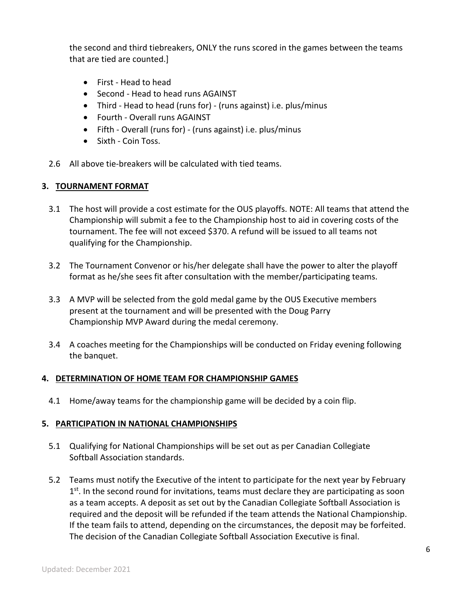the second and third tiebreakers, ONLY the runs scored in the games between the teams that are tied are counted.]

- First Head to head
- Second Head to head runs AGAINST
- Third Head to head (runs for) (runs against) i.e. plus/minus
- Fourth Overall runs AGAINST
- Fifth Overall (runs for) (runs against) i.e. plus/minus
- Sixth Coin Toss.
- 2.6 All above tie-breakers will be calculated with tied teams.

### **3. TOURNAMENT FORMAT**

- 3.1 The host will provide a cost estimate for the OUS playoffs. NOTE: All teams that attend the Championship will submit a fee to the Championship host to aid in covering costs of the tournament. The fee will not exceed \$370. A refund will be issued to all teams not qualifying for the Championship.
- 3.2 The Tournament Convenor or his/her delegate shall have the power to alter the playoff format as he/she sees fit after consultation with the member/participating teams.
- 3.3 A MVP will be selected from the gold medal game by the OUS Executive members present at the tournament and will be presented with the Doug Parry Championship MVP Award during the medal ceremony.
- 3.4 A coaches meeting for the Championships will be conducted on Friday evening following the banquet.

## **4. DETERMINATION OF HOME TEAM FOR CHAMPIONSHIP GAMES**

4.1 Home/away teams for the championship game will be decided by a coin flip.

### **5. PARTICIPATION IN NATIONAL CHAMPIONSHIPS**

- 5.1 Qualifying for National Championships will be set out as per Canadian Collegiate Softball Association standards.
- 5.2 Teams must notify the Executive of the intent to participate for the next year by February  $1<sup>st</sup>$ . In the second round for invitations, teams must declare they are participating as soon as a team accepts. A deposit as set out by the Canadian Collegiate Softball Association is required and the deposit will be refunded if the team attends the National Championship. If the team fails to attend, depending on the circumstances, the deposit may be forfeited. The decision of the Canadian Collegiate Softball Association Executive is final.